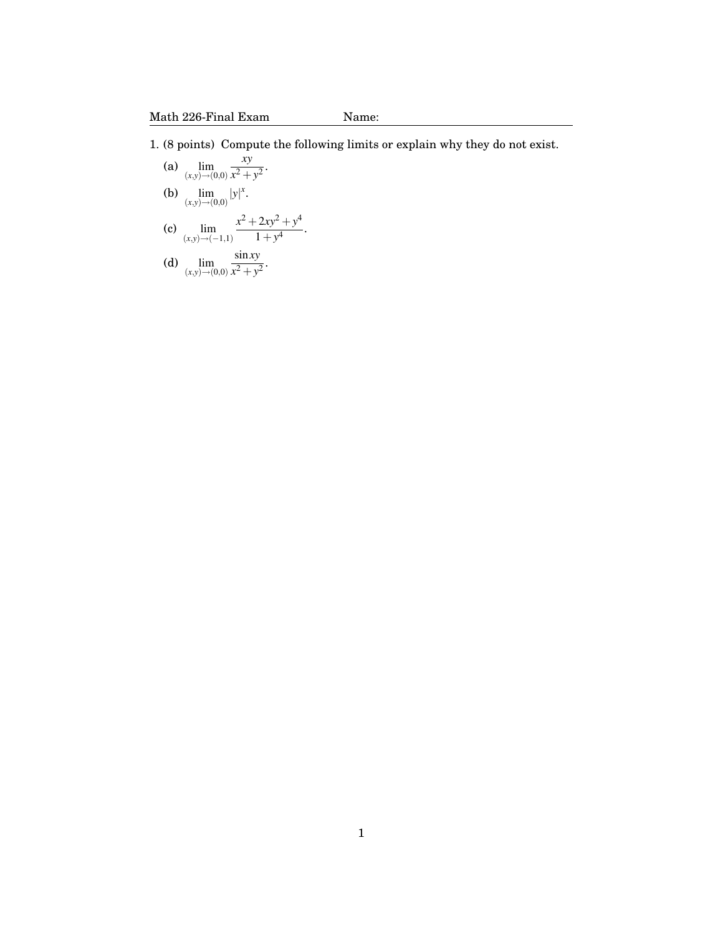- 1. (8 points) Compute the following limits or explain why they do not exist.
	- (a)  $\lim_{(x,y)\to(0,0)}$ *xy*  $\frac{xy}{x^2 + y^2}$ .
	- (b)  $\lim_{(x,y)\to(0,0)}|y|^x$ .
	- (c)  $\lim_{(x,y)\to(-1,1)}$  $x^2 + 2xy^2 + y^4$  $\frac{2xy+7}{1+y^4}$ .
	- (d)  $\lim_{(x,y)\to(0,0)}$ sin*xy*  $\frac{\sin xy}{x^2 + y^2}$ .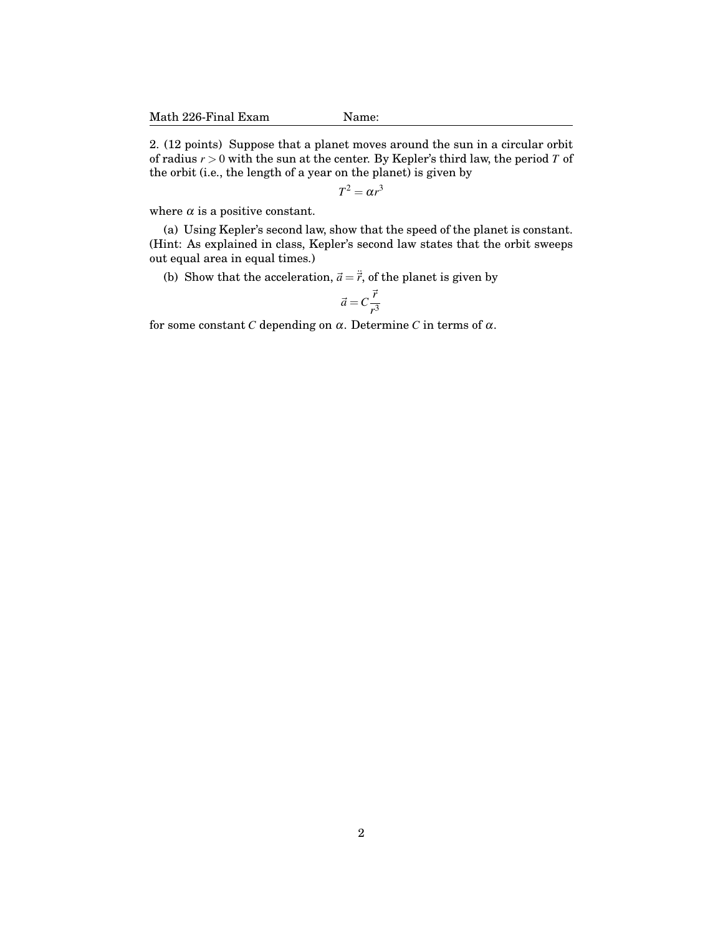2. (12 points) Suppose that a planet moves around the sun in a circular orbit of radius *r* > 0 with the sun at the center. By Kepler's third law, the period *T* of the orbit (i.e., the length of a year on the planet) is given by

 $T^2 = \alpha r^3$ 

where  $\alpha$  is a positive constant.

(a) Using Kepler's second law, show that the speed of the planet is constant. (Hint: As explained in class, Kepler's second law states that the orbit sweeps out equal area in equal times.)

(b) Show that the acceleration,  $\vec{a} = \dot{\vec{r}}$ , of the planet is given by

$$
\vec{a} = C \frac{\vec{r}}{r^3}
$$

for some constant *C* depending on  $\alpha$ . Determine *C* in terms of  $\alpha$ .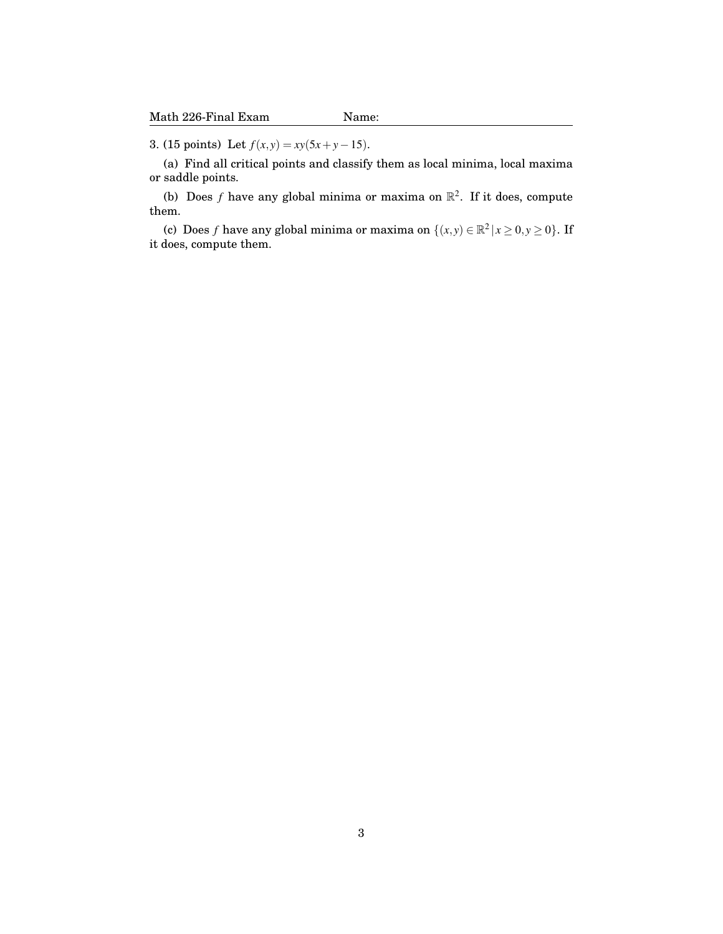3. (15 points) Let  $f(x, y) = xy(5x + y - 15)$ .

(a) Find all critical points and classify them as local minima, local maxima or saddle points.

(b) Does *f* have any global minima or maxima on  $\mathbb{R}^2$ . If it does, compute them.

(c) Does *f* have any global minima or maxima on  $\{(x, y) \in \mathbb{R}^2 \mid x \ge 0, y \ge 0\}$ . If it does, compute them.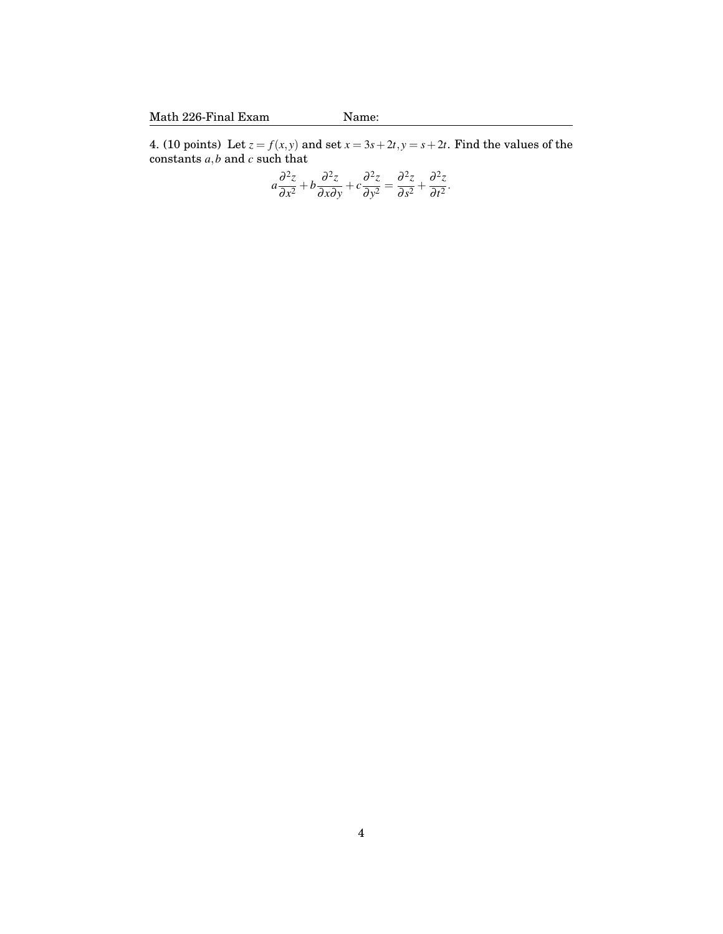4. (10 points) Let  $z = f(x, y)$  and set  $x = 3s + 2t$ ,  $y = s + 2t$ . Find the values of the constants *a*,*b* and *c* such that

$$
a\frac{\partial^2 z}{\partial x^2} + b\frac{\partial^2 z}{\partial x \partial y} + c\frac{\partial^2 z}{\partial y^2} = \frac{\partial^2 z}{\partial s^2} + \frac{\partial^2 z}{\partial t^2}.
$$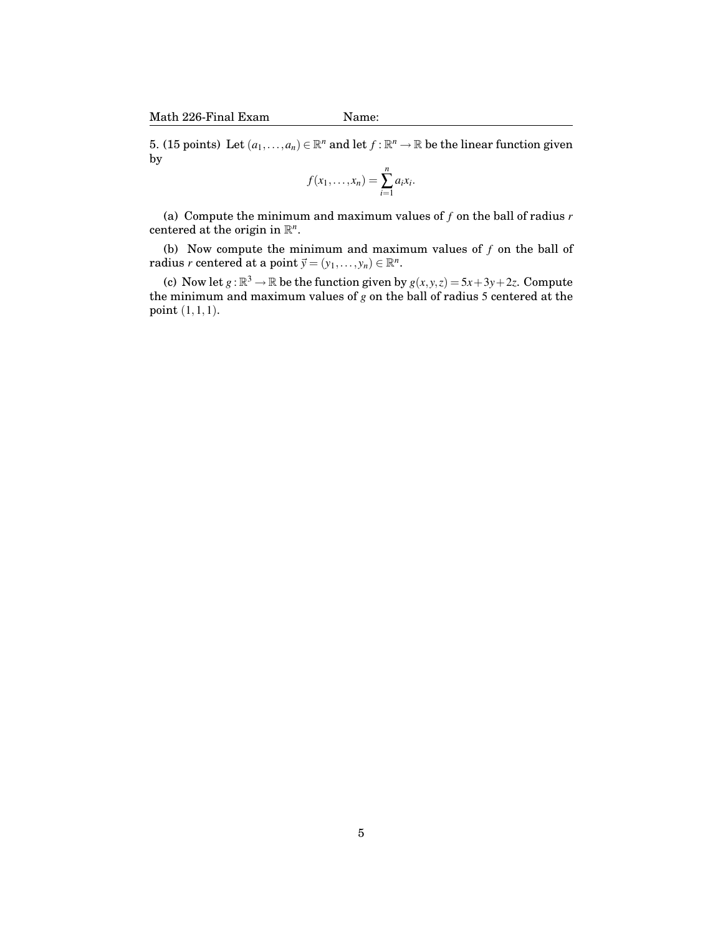5. (15 points) Let  $(a_1, \ldots, a_n) \in \mathbb{R}^n$  and let  $f : \mathbb{R}^n \to \mathbb{R}$  be the linear function given by

$$
f(x_1,\ldots,x_n)=\sum_{i=1}^n a_i x_i.
$$

(a) Compute the minimum and maximum values of  $f$  on the ball of radius  $r$ centered at the origin in  $\mathbb{R}^n$ .

(b) Now compute the minimum and maximum values of *f* on the ball of  $r$  centered at a point  $\vec{y} = (y_1, \ldots, y_n) \in \mathbb{R}^n$ .

(c) Now let  $g : \mathbb{R}^3 \to \mathbb{R}$  be the function given by  $g(x, y, z) = 5x + 3y + 2z$ . Compute the minimum and maximum values of *g* on the ball of radius 5 centered at the point (1,1,1).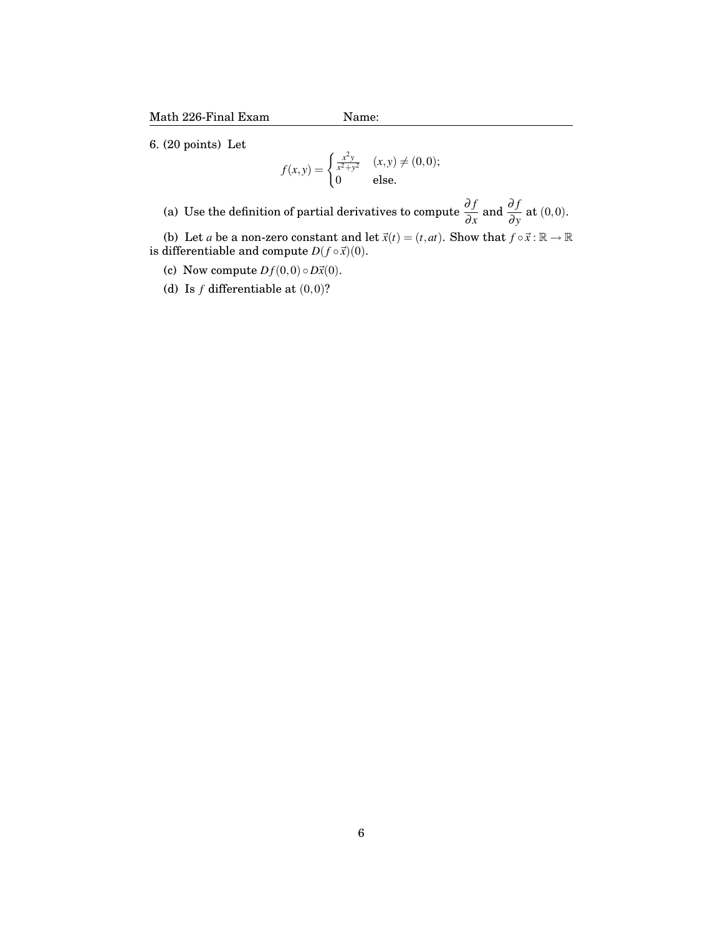6. (20 points) Let

$$
f(x,y) = \begin{cases} \frac{x^2y}{x^2+y^2} & (x,y) \neq (0,0); \\ 0 & \text{else.} \end{cases}
$$

(a) Use the definition of partial derivatives to compute  $\frac{\partial f}{\partial x}$  and  $\frac{\partial f}{\partial y}$  at (0,0).

(b) Let *a* be a non-zero constant and let  $\vec{x}(t) = (t, at)$ . Show that  $f \circ \vec{x} : \mathbb{R} \to \mathbb{R}$ is differentiable and compute  $D(f \circ \vec{x})(0)$ .

- (c) Now compute  $Df(0,0) \circ D\vec{x}(0)$ .
- (d) Is  $f$  differentiable at  $(0,0)$ ?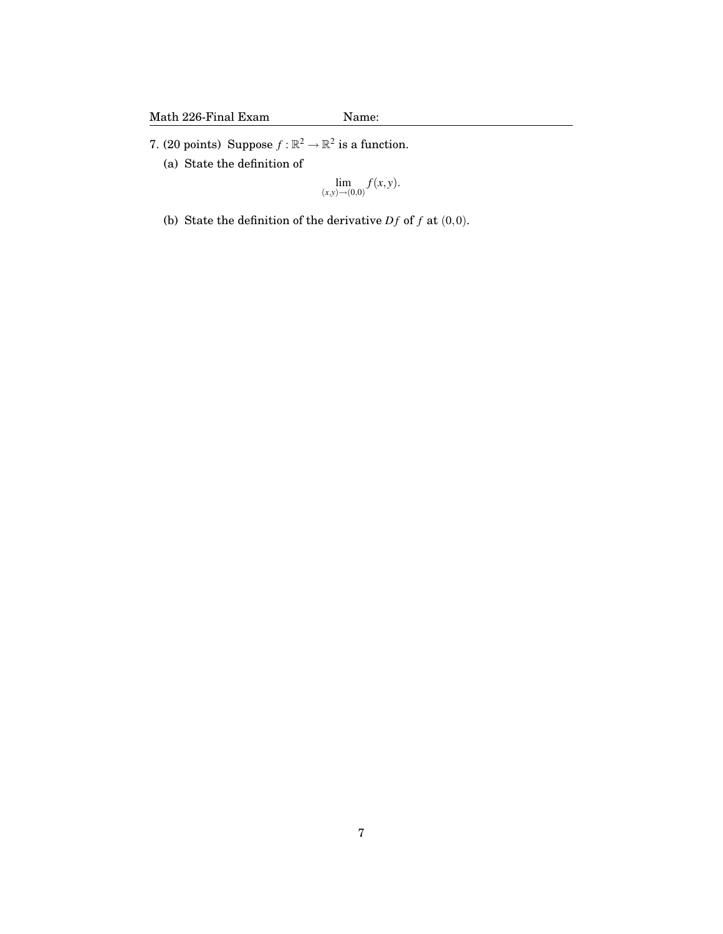## 7. (20 points) Suppose  $f : \mathbb{R}^2 \to \mathbb{R}^2$  is a function.

(a) State the definition of

$$
\lim_{(x,y)\to(0,0)}f(x,y).
$$

(b) State the definition of the derivative  $Df$  of  $f$  at  $(0,0)$ .